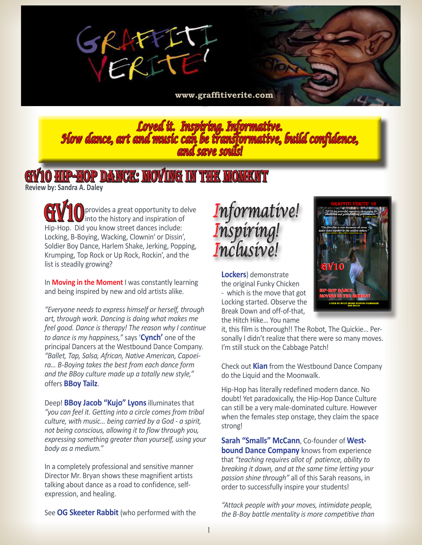

**<www.graffitiverite.com>**

*Loved it. Inspiring. Informative. How dance, art and music can be transformative, build confidence, and save souls!* 

## HIP-HOP DANCE: MOVING IN THE MOMENT

**Review by: Sandra A. Daley** 

**GV10** provides a great opportunity to delve into the history and inspiration of Hip-Hop. Did you know street dances include: Locking, B-Boying, Wacking, Clownin' or Dissin', Soldier Boy Dance, Harlem Shake, Jerking, Popping, Krumping, Top Rock or Up Rock, Rockin', and the list is steadily growing?

In **Moving in the Moment** I was constantly learning and being inspired by new and old artists alike.

*"Everyone needs to express himself or herself, through art, through work. Dancing is doing what makes me feel good. Dance is therapy! The reason why I continue to dance is my happiness,"* says '**Cynch'** one of the principal Dancers at the Westbound Dance Company. *"Ballet, Tap, Salsa, African, Native American, Capoeira… B-Boying takes the best from each dance form and the BBoy culture made up a totally new style,"*  offers **BBoy Tailz**.

Deep! **BBoy Jacob "Kujo" Lyons** illuminates that *"you can feel it. Getting into a circle comes from tribal culture, with music… being carried by a God - a spirit, not being conscious, allowing it to flow through you, expressing something greater than yourself, using your body as a medium."*

In a completely professional and sensitive manner Director Mr. Bryan shows these magnifient artists talking about dance as a road to confidence, selfexpression, and healing.

See **OG Skeeter Rabbit** (who performed with the

## *Informative! Inspiring! Inclusive!*

**Lockers**) demonstrate the original Funky Chicken - which is the move that got Locking started. Observe the Break Down and off-of-that, the Hitch Hike… You name

it, this film is thorough!! The Robot, The Quickie… Personally I didn't realize that there were so many moves. I'm still stuck on the Cabbage Patch!

Check out **Kian** from the Westbound Dance Company do the Liquid and the Moonwalk.

Hip-Hop has literally redefined modern dance. No doubt! Yet paradoxically, the Hip-Hop Dance Culture can still be a very male-dominated culture. However when the females step onstage, they claim the space strong!

**Sarah "Smalls" McCann**, Co-founder of **Westbound Dance Company** knows from experience that *"teaching requires allot of patience, ability to breaking it down, and at the same time letting your passion shine through"* all of this Sarah reasons, in order to successfully inspire your students!

*"Attack people with your moves, intimidate people, the B-Boy battle mentality is more competitive than*